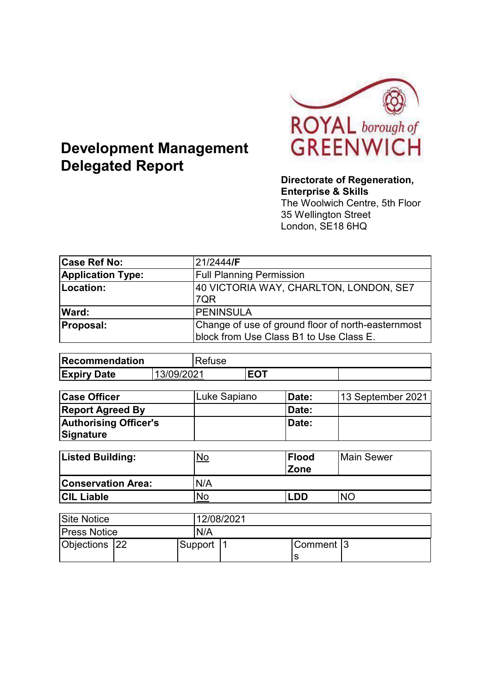

# **Development Management Delegated Report**

#### **Directorate of Regeneration, Enterprise & Skills**

The Woolwich Centre, 5th Floor 35 Wellington Street London, SE18 6HQ

| <b>Case Ref No:</b>      | 21/2444/F                                                                                     |
|--------------------------|-----------------------------------------------------------------------------------------------|
| <b>Application Type:</b> | <b>Full Planning Permission</b>                                                               |
| Location:                | 40 VICTORIA WAY, CHARLTON, LONDON, SE7<br>7QR                                                 |
| Ward:                    | <b>PENINSULA</b>                                                                              |
| <b>Proposal:</b>         | Change of use of ground floor of north-easternmost<br>block from Use Class B1 to Use Class E. |

| <b>Recommendation</b> |         | Refuse |     |  |
|-----------------------|---------|--------|-----|--|
| <b>Expiry Date</b>    | 09/2021 |        | LV. |  |

| <b>Case Officer</b>          | Luke Sapiano | Date:        | 13 September 2021 |
|------------------------------|--------------|--------------|-------------------|
| <b>Report Agreed By</b>      |              | <b>Date:</b> |                   |
| <b>Authorising Officer's</b> |              | Date:        |                   |
| Signature                    |              |              |                   |

| <b>Listed Building:</b>   | <u>No</u> | <b>Flood</b><br><b>Zone</b> | <b>Main Sewer</b> |
|---------------------------|-----------|-----------------------------|-------------------|
| <b>Conservation Area:</b> | N/A       |                             |                   |
| <b>ICIL Liable</b>        | No        | .DD                         | NΟ                |

| <b>Site Notice</b>  |  |     |            | 12/08/2021 |            |  |
|---------------------|--|-----|------------|------------|------------|--|
| <b>Press Notice</b> |  | N/A |            |            |            |  |
| Objections   22     |  |     | Support  1 |            | Comment 13 |  |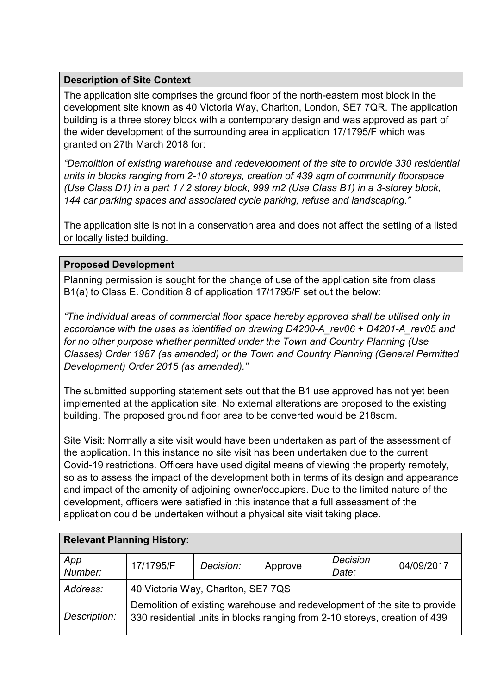## **Description of Site Context**

The application site comprises the ground floor of the north-eastern most block in the development site known as 40 Victoria Way, Charlton, London, SE7 7QR. The application building is a three storey block with a contemporary design and was approved as part of the wider development of the surrounding area in application 17/1795/F which was granted on 27th March 2018 for:

*"Demolition of existing warehouse and redevelopment of the site to provide 330 residential units in blocks ranging from 2-10 storeys, creation of 439 sqm of community floorspace (Use Class D1) in a part 1 / 2 storey block, 999 m2 (Use Class B1) in a 3-storey block, 144 car parking spaces and associated cycle parking, refuse and landscaping."*

The application site is not in a conservation area and does not affect the setting of a listed or locally listed building.

#### **Proposed Development**

Planning permission is sought for the change of use of the application site from class B1(a) to Class E. Condition 8 of application 17/1795/F set out the below:

*"The individual areas of commercial floor space hereby approved shall be utilised only in accordance with the uses as identified on drawing D4200-A\_rev06 + D4201-A\_rev05 and for no other purpose whether permitted under the Town and Country Planning (Use Classes) Order 1987 (as amended) or the Town and Country Planning (General Permitted Development) Order 2015 (as amended)."*

The submitted supporting statement sets out that the B1 use approved has not yet been implemented at the application site. No external alterations are proposed to the existing building. The proposed ground floor area to be converted would be 218sqm.

Site Visit: Normally a site visit would have been undertaken as part of the assessment of the application. In this instance no site visit has been undertaken due to the current Covid-19 restrictions. Officers have used digital means of viewing the property remotely, so as to assess the impact of the development both in terms of its design and appearance and impact of the amenity of adjoining owner/occupiers. Due to the limited nature of the development, officers were satisfied in this instance that a full assessment of the application could be undertaken without a physical site visit taking place.

| <b>Relevant Planning History:</b> |                                                                                                                                                         |           |         |                          |            |
|-----------------------------------|---------------------------------------------------------------------------------------------------------------------------------------------------------|-----------|---------|--------------------------|------------|
| App<br>Number:                    | 17/1795/F                                                                                                                                               | Decision: | Approve | <b>Decision</b><br>Date: | 04/09/2017 |
| Address:                          | 40 Victoria Way, Charlton, SE7 7QS                                                                                                                      |           |         |                          |            |
| Description:                      | Demolition of existing warehouse and redevelopment of the site to provide<br>330 residential units in blocks ranging from 2-10 storeys, creation of 439 |           |         |                          |            |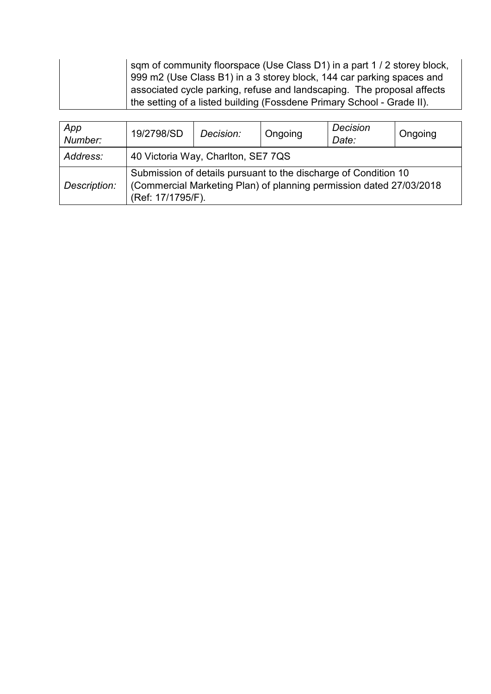| sqm of community floorspace (Use Class D1) in a part 1 / 2 storey block, |
|--------------------------------------------------------------------------|
| 999 m2 (Use Class B1) in a 3 storey block, 144 car parking spaces and    |
| associated cycle parking, refuse and landscaping. The proposal affects   |
| the setting of a listed building (Fossdene Primary School - Grade II).   |

| App<br>Number: | 19/2798/SD                                                                                                                                                  | Decision: | Ongoing | Decision<br>Date: | Ongoing |  |
|----------------|-------------------------------------------------------------------------------------------------------------------------------------------------------------|-----------|---------|-------------------|---------|--|
| Address:       | 40 Victoria Way, Charlton, SE7 7QS                                                                                                                          |           |         |                   |         |  |
| Description:   | Submission of details pursuant to the discharge of Condition 10<br>(Commercial Marketing Plan) of planning permission dated 27/03/2018<br>(Ref: 17/1795/F). |           |         |                   |         |  |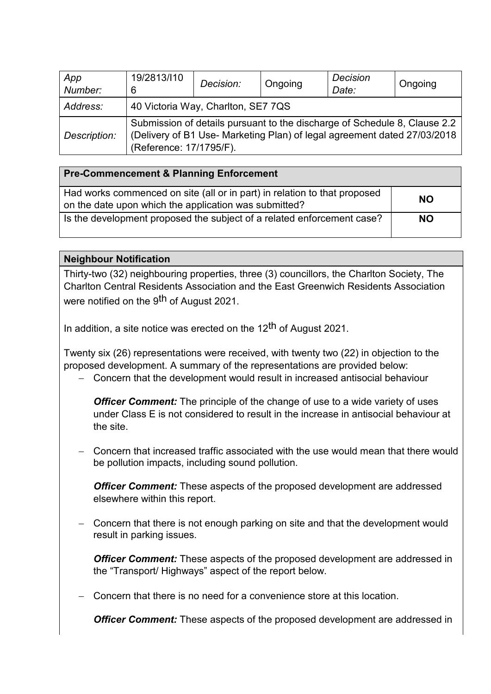| App<br>Number: | 19/2813/110<br>6                                                                                                                                                                 | Decision: | Ongoing | Decision<br>Date: | Ongoing |
|----------------|----------------------------------------------------------------------------------------------------------------------------------------------------------------------------------|-----------|---------|-------------------|---------|
| Address:       | 40 Victoria Way, Charlton, SE7 7QS                                                                                                                                               |           |         |                   |         |
| Description:   | Submission of details pursuant to the discharge of Schedule 8, Clause 2.2<br>(Delivery of B1 Use- Marketing Plan) of legal agreement dated 27/03/2018<br>(Reference: 17/1795/F). |           |         |                   |         |

## **Pre-Commencement & Planning Enforcement**

| Had works commenced on site (all or in part) in relation to that proposed<br>on the date upon which the application was submitted? | <b>NO</b> |
|------------------------------------------------------------------------------------------------------------------------------------|-----------|
| Is the development proposed the subject of a related enforcement case?                                                             | <b>NO</b> |

#### **Neighbour Notification**

Thirty-two (32) neighbouring properties, three (3) councillors, the Charlton Society, The Charlton Central Residents Association and the East Greenwich Residents Association were notified on the 9<sup>th</sup> of August 2021.

In addition, a site notice was erected on the  $12<sup>th</sup>$  of August 2021.

Twenty six (26) representations were received, with twenty two (22) in objection to the proposed development. A summary of the representations are provided below:

- Concern that the development would result in increased antisocial behaviour

*Officer Comment:* The principle of the change of use to a wide variety of uses under Class E is not considered to result in the increase in antisocial behaviour at the site.

- Concern that increased traffic associated with the use would mean that there would be pollution impacts, including sound pollution.

**Officer Comment:** These aspects of the proposed development are addressed elsewhere within this report.

Concern that there is not enough parking on site and that the development would result in parking issues.

*Officer Comment:* These aspects of the proposed development are addressed in the "Transport/ Highways" aspect of the report below.

- Concern that there is no need for a convenience store at this location.

*Officer Comment:* These aspects of the proposed development are addressed in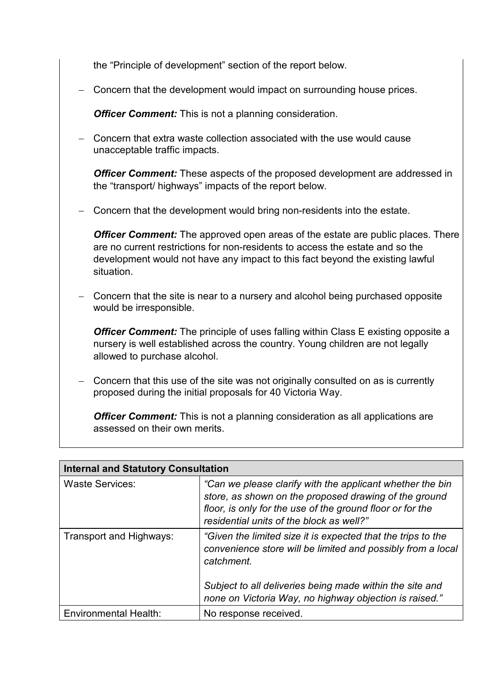the "Principle of development" section of the report below.

- Concern that the development would impact on surrounding house prices.

*Officer Comment:* This is not a planning consideration.

- Concern that extra waste collection associated with the use would cause unacceptable traffic impacts.

*Officer Comment:* These aspects of the proposed development are addressed in the "transport/ highways" impacts of the report below.

- Concern that the development would bring non-residents into the estate.

*Officer Comment:* The approved open areas of the estate are public places. There are no current restrictions for non-residents to access the estate and so the development would not have any impact to this fact beyond the existing lawful situation.

- Concern that the site is near to a nursery and alcohol being purchased opposite would be irresponsible.

*Officer Comment:* The principle of uses falling within Class E existing opposite a nursery is well established across the country. Young children are not legally allowed to purchase alcohol.

- Concern that this use of the site was not originally consulted on as is currently proposed during the initial proposals for 40 Victoria Way.

*Officer Comment:* This is not a planning consideration as all applications are assessed on their own merits.

| <b>Internal and Statutory Consultation</b> |                                                                                                                                                                                                                             |  |  |  |
|--------------------------------------------|-----------------------------------------------------------------------------------------------------------------------------------------------------------------------------------------------------------------------------|--|--|--|
| <b>Waste Services:</b>                     | "Can we please clarify with the applicant whether the bin<br>store, as shown on the proposed drawing of the ground<br>floor, is only for the use of the ground floor or for the<br>residential units of the block as well?" |  |  |  |
| Transport and Highways:                    | "Given the limited size it is expected that the trips to the<br>convenience store will be limited and possibly from a local<br>catchment.                                                                                   |  |  |  |
|                                            | Subject to all deliveries being made within the site and<br>none on Victoria Way, no highway objection is raised."                                                                                                          |  |  |  |
| Environmental Health:                      | No response received.                                                                                                                                                                                                       |  |  |  |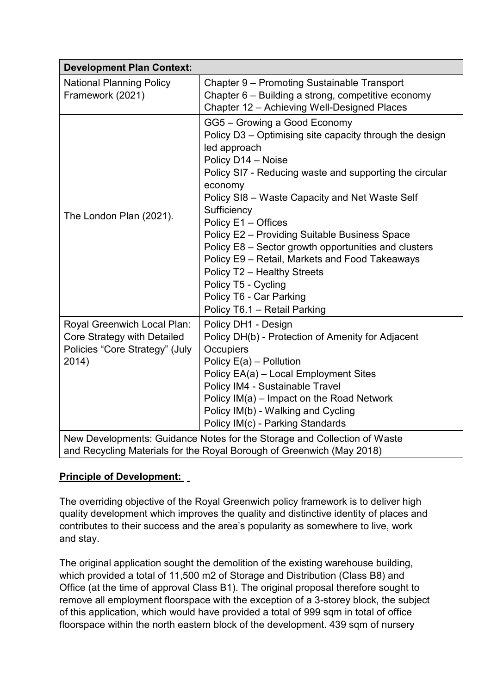| <b>Development Plan Context:</b>                    |                                                                                                                                                                                                                                                                                                                                                                                                                                                                                                                                                                         |
|-----------------------------------------------------|-------------------------------------------------------------------------------------------------------------------------------------------------------------------------------------------------------------------------------------------------------------------------------------------------------------------------------------------------------------------------------------------------------------------------------------------------------------------------------------------------------------------------------------------------------------------------|
| <b>National Planning Policy</b><br>Framework (2021) | Chapter 9 – Promoting Sustainable Transport<br>Chapter 6 – Building a strong, competitive economy                                                                                                                                                                                                                                                                                                                                                                                                                                                                       |
|                                                     | Chapter 12 - Achieving Well-Designed Places                                                                                                                                                                                                                                                                                                                                                                                                                                                                                                                             |
| The London Plan (2021).                             | GG5 - Growing a Good Economy<br>Policy D3 – Optimising site capacity through the design<br>led approach<br>Policy D14 - Noise<br>Policy SI7 - Reducing waste and supporting the circular<br>economy<br>Policy SI8 – Waste Capacity and Net Waste Self<br>Sufficiency<br>Policy E1 - Offices<br>Policy E2 - Providing Suitable Business Space<br>Policy E8 - Sector growth opportunities and clusters<br>Policy E9 - Retail, Markets and Food Takeaways<br>Policy T2 - Healthy Streets<br>Policy T5 - Cycling<br>Policy T6 - Car Parking<br>Policy T6.1 - Retail Parking |
| Royal Greenwich Local Plan:                         | Policy DH1 - Design                                                                                                                                                                                                                                                                                                                                                                                                                                                                                                                                                     |
| Core Strategy with Detailed                         | Policy DH(b) - Protection of Amenity for Adjacent                                                                                                                                                                                                                                                                                                                                                                                                                                                                                                                       |
| Policies "Core Strategy" (July                      | Occupiers                                                                                                                                                                                                                                                                                                                                                                                                                                                                                                                                                               |
| 2014)                                               | Policy E(a) - Pollution<br>Policy EA(a) - Local Employment Sites                                                                                                                                                                                                                                                                                                                                                                                                                                                                                                        |
|                                                     | Policy IM4 - Sustainable Travel                                                                                                                                                                                                                                                                                                                                                                                                                                                                                                                                         |
|                                                     | Policy IM(a) – Impact on the Road Network                                                                                                                                                                                                                                                                                                                                                                                                                                                                                                                               |
|                                                     | Policy IM(b) - Walking and Cycling                                                                                                                                                                                                                                                                                                                                                                                                                                                                                                                                      |
|                                                     | Policy IM(c) - Parking Standards                                                                                                                                                                                                                                                                                                                                                                                                                                                                                                                                        |
|                                                     | New Developments: Guidance Notes for the Storage and Collection of Waste<br>and Recycling Materials for the Royal Borough of Greenwich (May 2018)                                                                                                                                                                                                                                                                                                                                                                                                                       |

## **Principle of Development:**

The overriding objective of the Royal Greenwich policy framework is to deliver high quality development which improves the quality and distinctive identity of places and contributes to their success and the area's popularity as somewhere to live, work and stay.

The original application sought the demolition of the existing warehouse building, which provided a total of 11,500 m2 of Storage and Distribution (Class B8) and Office (at the time of approval Class B1). The original proposal therefore sought to remove all employment floorspace with the exception of a 3-storey block, the subject of this application, which would have provided a total of 999 sqm in total of office floorspace within the north eastern block of the development. 439 sqm of nursery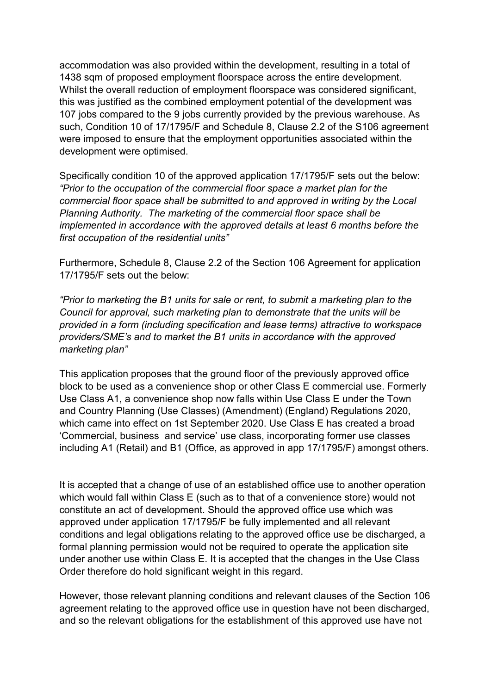accommodation was also provided within the development, resulting in a total of 1438 sqm of proposed employment floorspace across the entire development. Whilst the overall reduction of employment floorspace was considered significant, this was justified as the combined employment potential of the development was 107 jobs compared to the 9 jobs currently provided by the previous warehouse. As such, Condition 10 of 17/1795/F and Schedule 8, Clause 2.2 of the S106 agreement were imposed to ensure that the employment opportunities associated within the development were optimised.

Specifically condition 10 of the approved application 17/1795/F sets out the below: *"Prior to the occupation of the commercial floor space a market plan for the commercial floor space shall be submitted to and approved in writing by the Local Planning Authority. The marketing of the commercial floor space shall be implemented in accordance with the approved details at least 6 months before the first occupation of the residential units"*

Furthermore, Schedule 8, Clause 2.2 of the Section 106 Agreement for application 17/1795/F sets out the below:

*"Prior to marketing the B1 units for sale or rent, to submit a marketing plan to the Council for approval, such marketing plan to demonstrate that the units will be provided in a form (including specification and lease terms) attractive to workspace providers/SME's and to market the B1 units in accordance with the approved marketing plan"*

This application proposes that the ground floor of the previously approved office block to be used as a convenience shop or other Class E commercial use. Formerly Use Class A1, a convenience shop now falls within Use Class E under the Town and Country Planning (Use Classes) (Amendment) (England) Regulations 2020, which came into effect on 1st September 2020. Use Class E has created a broad 'Commercial, business and service' use class, incorporating former use classes including A1 (Retail) and B1 (Office, as approved in app 17/1795/F) amongst others.

It is accepted that a change of use of an established office use to another operation which would fall within Class E (such as to that of a convenience store) would not constitute an act of development. Should the approved office use which was approved under application 17/1795/F be fully implemented and all relevant conditions and legal obligations relating to the approved office use be discharged, a formal planning permission would not be required to operate the application site under another use within Class E. It is accepted that the changes in the Use Class Order therefore do hold significant weight in this regard.

However, those relevant planning conditions and relevant clauses of the Section 106 agreement relating to the approved office use in question have not been discharged, and so the relevant obligations for the establishment of this approved use have not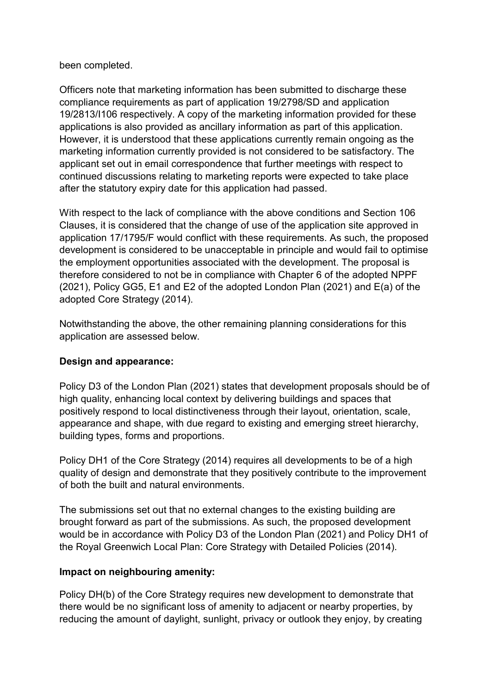#### been completed.

Officers note that marketing information has been submitted to discharge these compliance requirements as part of application 19/2798/SD and application 19/2813/I106 respectively. A copy of the marketing information provided for these applications is also provided as ancillary information as part of this application. However, it is understood that these applications currently remain ongoing as the marketing information currently provided is not considered to be satisfactory. The applicant set out in email correspondence that further meetings with respect to continued discussions relating to marketing reports were expected to take place after the statutory expiry date for this application had passed.

With respect to the lack of compliance with the above conditions and Section 106 Clauses, it is considered that the change of use of the application site approved in application 17/1795/F would conflict with these requirements. As such, the proposed development is considered to be unacceptable in principle and would fail to optimise the employment opportunities associated with the development. The proposal is therefore considered to not be in compliance with Chapter 6 of the adopted NPPF (2021), Policy GG5, E1 and E2 of the adopted London Plan (2021) and E(a) of the adopted Core Strategy (2014).

Notwithstanding the above, the other remaining planning considerations for this application are assessed below.

## **Design and appearance:**

Policy D3 of the London Plan (2021) states that development proposals should be of high quality, enhancing local context by delivering buildings and spaces that positively respond to local distinctiveness through their layout, orientation, scale, appearance and shape, with due regard to existing and emerging street hierarchy, building types, forms and proportions.

Policy DH1 of the Core Strategy (2014) requires all developments to be of a high quality of design and demonstrate that they positively contribute to the improvement of both the built and natural environments.

The submissions set out that no external changes to the existing building are brought forward as part of the submissions. As such, the proposed development would be in accordance with Policy D3 of the London Plan (2021) and Policy DH1 of the Royal Greenwich Local Plan: Core Strategy with Detailed Policies (2014).

#### **Impact on neighbouring amenity:**

Policy DH(b) of the Core Strategy requires new development to demonstrate that there would be no significant loss of amenity to adjacent or nearby properties, by reducing the amount of daylight, sunlight, privacy or outlook they enjoy, by creating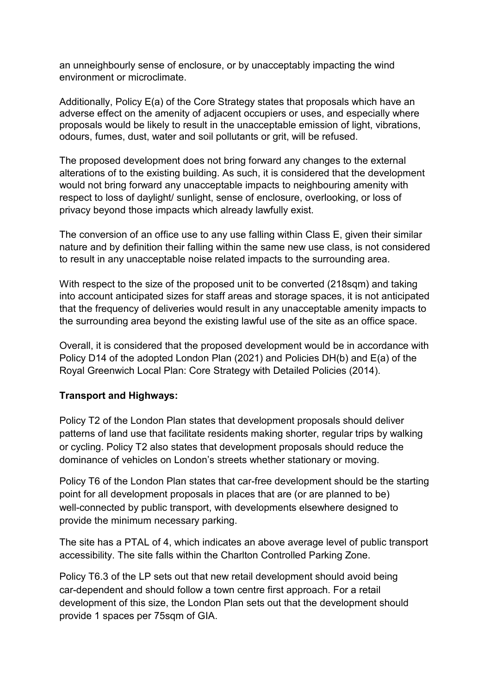an unneighbourly sense of enclosure, or by unacceptably impacting the wind environment or microclimate.

Additionally, Policy E(a) of the Core Strategy states that proposals which have an adverse effect on the amenity of adjacent occupiers or uses, and especially where proposals would be likely to result in the unacceptable emission of light, vibrations, odours, fumes, dust, water and soil pollutants or grit, will be refused.

The proposed development does not bring forward any changes to the external alterations of to the existing building. As such, it is considered that the development would not bring forward any unacceptable impacts to neighbouring amenity with respect to loss of daylight/ sunlight, sense of enclosure, overlooking, or loss of privacy beyond those impacts which already lawfully exist.

The conversion of an office use to any use falling within Class E, given their similar nature and by definition their falling within the same new use class, is not considered to result in any unacceptable noise related impacts to the surrounding area.

With respect to the size of the proposed unit to be converted (218sqm) and taking into account anticipated sizes for staff areas and storage spaces, it is not anticipated that the frequency of deliveries would result in any unacceptable amenity impacts to the surrounding area beyond the existing lawful use of the site as an office space.

Overall, it is considered that the proposed development would be in accordance with Policy D14 of the adopted London Plan (2021) and Policies DH(b) and E(a) of the Royal Greenwich Local Plan: Core Strategy with Detailed Policies (2014).

## **Transport and Highways:**

Policy T2 of the London Plan states that development proposals should deliver patterns of land use that facilitate residents making shorter, regular trips by walking or cycling. Policy T2 also states that development proposals should reduce the dominance of vehicles on London's streets whether stationary or moving.

Policy T6 of the London Plan states that car-free development should be the starting point for all development proposals in places that are (or are planned to be) well-connected by public transport, with developments elsewhere designed to provide the minimum necessary parking.

The site has a PTAL of 4, which indicates an above average level of public transport accessibility. The site falls within the Charlton Controlled Parking Zone.

Policy T6.3 of the LP sets out that new retail development should avoid being car-dependent and should follow a town centre first approach. For a retail development of this size, the London Plan sets out that the development should provide 1 spaces per 75sqm of GIA.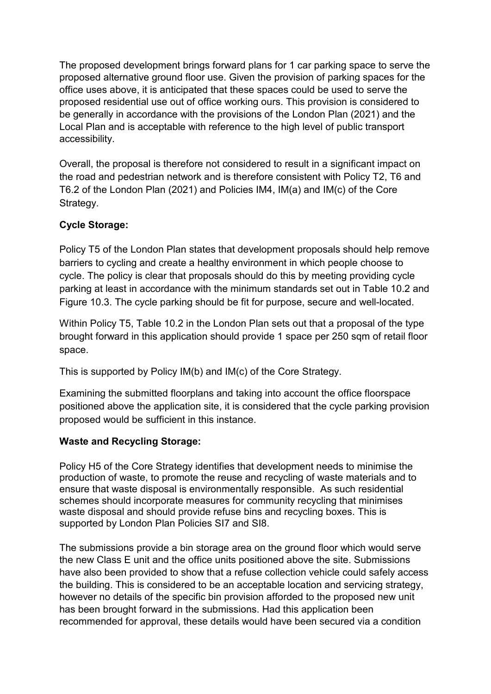The proposed development brings forward plans for 1 car parking space to serve the proposed alternative ground floor use. Given the provision of parking spaces for the office uses above, it is anticipated that these spaces could be used to serve the proposed residential use out of office working ours. This provision is considered to be generally in accordance with the provisions of the London Plan (2021) and the Local Plan and is acceptable with reference to the high level of public transport accessibility.

Overall, the proposal is therefore not considered to result in a significant impact on the road and pedestrian network and is therefore consistent with Policy T2, T6 and T6.2 of the London Plan (2021) and Policies IM4, IM(a) and IM(c) of the Core Strategy.

# **Cycle Storage:**

Policy T5 of the London Plan states that development proposals should help remove barriers to cycling and create a healthy environment in which people choose to cycle. The policy is clear that proposals should do this by meeting providing cycle parking at least in accordance with the minimum standards set out in Table 10.2 and Figure 10.3. The cycle parking should be fit for purpose, secure and well-located.

Within Policy T5, Table 10.2 in the London Plan sets out that a proposal of the type brought forward in this application should provide 1 space per 250 sqm of retail floor space.

This is supported by Policy IM(b) and IM(c) of the Core Strategy.

Examining the submitted floorplans and taking into account the office floorspace positioned above the application site, it is considered that the cycle parking provision proposed would be sufficient in this instance.

## **Waste and Recycling Storage:**

Policy H5 of the Core Strategy identifies that development needs to minimise the production of waste, to promote the reuse and recycling of waste materials and to ensure that waste disposal is environmentally responsible. As such residential schemes should incorporate measures for community recycling that minimises waste disposal and should provide refuse bins and recycling boxes. This is supported by London Plan Policies SI7 and SI8.

The submissions provide a bin storage area on the ground floor which would serve the new Class E unit and the office units positioned above the site. Submissions have also been provided to show that a refuse collection vehicle could safely access the building. This is considered to be an acceptable location and servicing strategy, however no details of the specific bin provision afforded to the proposed new unit has been brought forward in the submissions. Had this application been recommended for approval, these details would have been secured via a condition